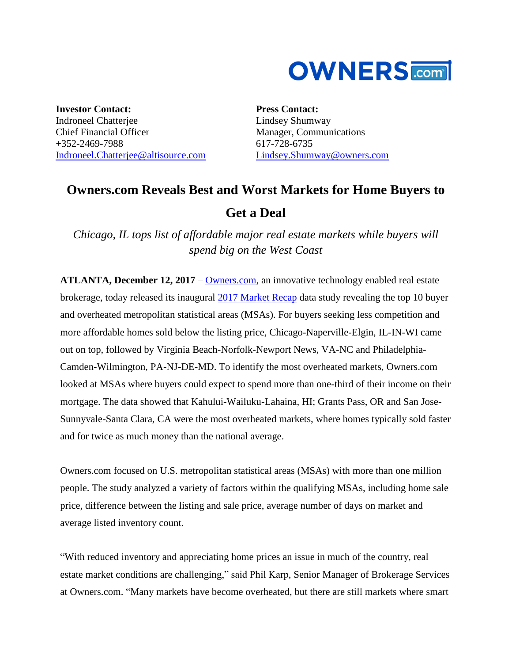

**Investor Contact:** Indroneel Chatterjee Chief Financial Officer +352-2469-7988 [Indroneel.Chatterjee@altisource.com](mailto:Indroneel.Chatterjee@altisource.com)

**Press Contact:** Lindsey Shumway Manager, Communications 617-728-6735 [Lindsey.Shumway@owners.com](mailto:lindsey.shumway@owners.com)

# **Owners.com Reveals Best and Worst Markets for Home Buyers to Get a Deal**

*Chicago, IL tops list of affordable major real estate markets while buyers will spend big on the West Coast* 

**ATLANTA, December 12, 2017** – [Owners.com,](https://www.owners.com/?utm_source=pr&utm_medium=pr&utm_campaign=buyers2017marketrecap&utm_content=first) an innovative technology enabled real estate brokerage, today released its inaugural [2017 Market Recap](https://www.owners.com/advice/owners-com-2017-market-recap/?utm_source=PR&utm_medium=PR&utm_campaign=2017%20market%20recap) data study revealing the top 10 buyer and overheated metropolitan statistical areas (MSAs). For buyers seeking less competition and more affordable homes sold below the listing price, Chicago-Naperville-Elgin, IL-IN-WI came out on top, followed by Virginia Beach-Norfolk-Newport News, VA-NC and Philadelphia-Camden-Wilmington, PA-NJ-DE-MD. To identify the most overheated markets, Owners.com looked at MSAs where buyers could expect to spend more than one-third of their income on their mortgage. The data showed that Kahului-Wailuku-Lahaina, HI; Grants Pass, OR and San Jose-Sunnyvale-Santa Clara, CA were the most overheated markets, where homes typically sold faster and for twice as much money than the national average.

Owners.com focused on U.S. metropolitan statistical areas (MSAs) with more than one million people. The study analyzed a variety of factors within the qualifying MSAs, including home sale price, difference between the listing and sale price, average number of days on market and average listed inventory count.

"With reduced inventory and appreciating home prices an issue in much of the country, real estate market conditions are challenging," said Phil Karp, Senior Manager of Brokerage Services at Owners.com. "Many markets have become overheated, but there are still markets where smart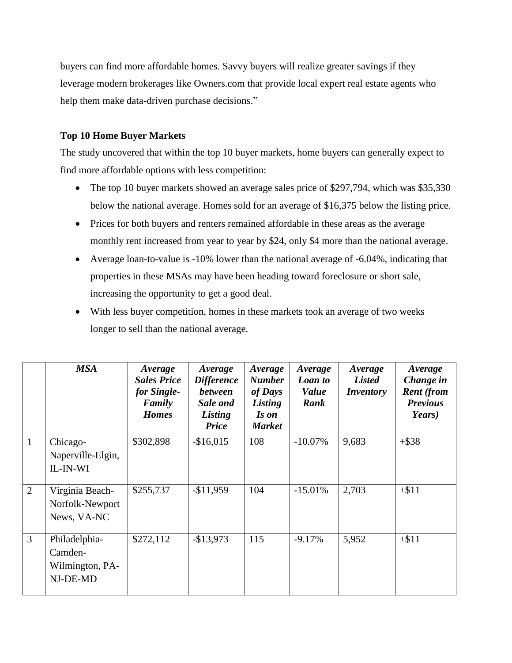buyers can find more affordable homes. Savvy buyers will realize greater savings if they leverage modern brokerages like Owners.com that provide local expert real estate agents who help them make data-driven purchase decisions."

### **Top 10 Home Buyer Markets**

The study uncovered that within the top 10 buyer markets, home buyers can generally expect to find more affordable options with less competition:

- The top 10 buyer markets showed an average sales price of \$297,794, which was \$35,330 below the national average. Homes sold for an average of \$16,375 below the listing price.
- Prices for both buyers and renters remained affordable in these areas as the average monthly rent increased from year to year by \$24, only \$4 more than the national average.
- Average loan-to-value is -10% lower than the national average of -6.04%, indicating that properties in these MSAs may have been heading toward foreclosure or short sale, increasing the opportunity to get a good deal.
- With less buyer competition, homes in these markets took an average of two weeks longer to sell than the national average.

|                | <b>MSA</b>                                              | Average<br><b>Sales Price</b><br>for Single-<br>Family<br><b>Homes</b> | Average<br><b>Difference</b><br><b>between</b><br>Sale and<br>Listing<br>Price | Average<br><b>Number</b><br>of Days<br>Listing<br>Is on<br><b>Market</b> | Average<br>Loan to<br><b>Value</b><br>Rank | Average<br><b>Listed</b><br><i>Inventory</i> | Average<br>Change in<br><b>Rent</b> (from<br><b>Previous</b><br>Years) |
|----------------|---------------------------------------------------------|------------------------------------------------------------------------|--------------------------------------------------------------------------------|--------------------------------------------------------------------------|--------------------------------------------|----------------------------------------------|------------------------------------------------------------------------|
| $\mathbf{1}$   | Chicago-<br>Naperville-Elgin,<br>IL-IN-WI               | \$302,898                                                              | $-$16,015$                                                                     | 108                                                                      | $-10.07\%$                                 | 9,683                                        | $+$ \$38                                                               |
| $\overline{2}$ | Virginia Beach-<br>Norfolk-Newport<br>News, VA-NC       | \$255,737                                                              | $-$11,959$                                                                     | 104                                                                      | $-15.01%$                                  | 2,703                                        | $+ $11$                                                                |
| $\mathfrak{Z}$ | Philadelphia-<br>Camden-<br>Wilmington, PA-<br>NJ-DE-MD | \$272,112                                                              | $-$13,973$                                                                     | 115                                                                      | $-9.17\%$                                  | 5,952                                        | $+ $11$                                                                |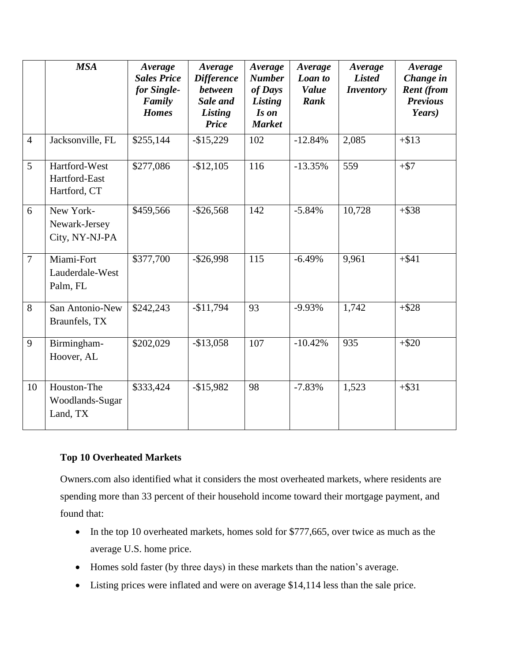|                | <b>MSA</b>                                     | Average<br><b>Sales Price</b><br>for Single-<br>Family<br><b>Homes</b> | Average<br><b>Difference</b><br><b>between</b><br>Sale and<br>Listing<br><b>Price</b> | Average<br><b>Number</b><br>of Days<br><b>Listing</b><br>Is on<br><b>Market</b> | Average<br>Loan to<br><b>Value</b><br>Rank | Average<br><b>Listed</b><br><b>Inventory</b> | Average<br>Change in<br><b>Rent</b> (from<br><b>Previous</b><br>Years) |
|----------------|------------------------------------------------|------------------------------------------------------------------------|---------------------------------------------------------------------------------------|---------------------------------------------------------------------------------|--------------------------------------------|----------------------------------------------|------------------------------------------------------------------------|
| $\overline{4}$ | Jacksonville, FL                               | \$255,144                                                              | $-$ \$15,229                                                                          | 102                                                                             | $-12.84%$                                  | 2,085                                        | $+ $13$                                                                |
| 5              | Hartford-West<br>Hartford-East<br>Hartford, CT | \$277,086                                                              | $-$12,105$                                                                            | 116                                                                             | $-13.35%$                                  | 559                                          | $+ $7$                                                                 |
| 6              | New York-<br>Newark-Jersey<br>City, NY-NJ-PA   | \$459,566                                                              | $-$ \$26,568                                                                          | 142                                                                             | $-5.84%$                                   | 10,728                                       | $+$ \$38                                                               |
| $\overline{7}$ | Miami-Fort<br>Lauderdale-West<br>Palm, FL      | \$377,700                                                              | $-$ \$26,998                                                                          | 115                                                                             | $-6.49%$                                   | 9,961                                        | $+ $41$                                                                |
| 8              | San Antonio-New<br>Braunfels, TX               | \$242,243                                                              | $-$11,794$                                                                            | 93                                                                              | $-9.93%$                                   | 1,742                                        | $+ $28$                                                                |
| 9              | Birmingham-<br>Hoover, AL                      | \$202,029                                                              | $-$13,058$                                                                            | 107                                                                             | $-10.42%$                                  | 935                                          | $+ $20$                                                                |
| 10             | Houston-The<br>Woodlands-Sugar<br>Land, TX     | \$333,424                                                              | $-$15,982$                                                                            | 98                                                                              | $-7.83%$                                   | 1,523                                        | $+ $31$                                                                |

## **Top 10 Overheated Markets**

Owners.com also identified what it considers the most overheated markets, where residents are spending more than 33 percent of their household income toward their mortgage payment, and found that:

- In the top 10 overheated markets, homes sold for \$777,665, over twice as much as the average U.S. home price.
- Homes sold faster (by three days) in these markets than the nation's average.
- Listing prices were inflated and were on average \$14,114 less than the sale price.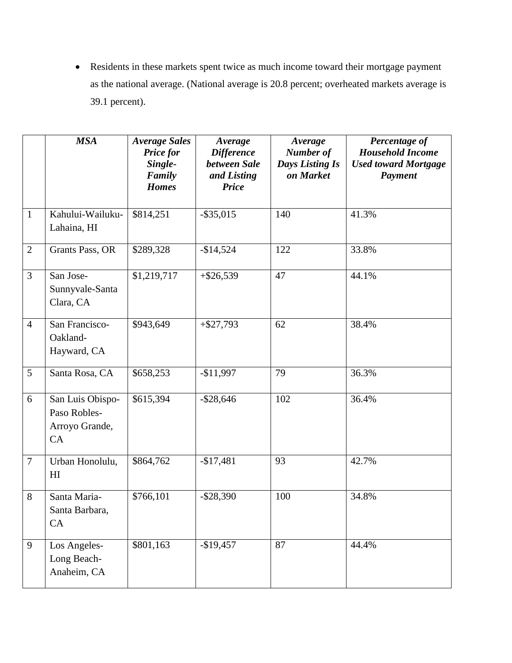Residents in these markets spent twice as much income toward their mortgage payment as the national average. (National average is 20.8 percent; overheated markets average is 39.1 percent).

|                | <b>MSA</b>                                               | <b>Average Sales</b><br><b>Price for</b><br>Single-<br>Family<br><b>Homes</b> | Average<br><b>Difference</b><br>between Sale<br>and Listing<br><b>Price</b> | Average<br>Number of<br><b>Days Listing Is</b><br>on Market | Percentage of<br><b>Household Income</b><br><b>Used toward Mortgage</b><br>Payment |
|----------------|----------------------------------------------------------|-------------------------------------------------------------------------------|-----------------------------------------------------------------------------|-------------------------------------------------------------|------------------------------------------------------------------------------------|
| $\mathbf{1}$   | Kahului-Wailuku-<br>Lahaina, HI                          | \$814,251                                                                     | $-$ \$35,015                                                                | 140                                                         | 41.3%                                                                              |
| $\overline{2}$ | Grants Pass, OR                                          | \$289,328                                                                     | $-$14,524$                                                                  | 122                                                         | 33.8%                                                                              |
| 3              | San Jose-<br>Sunnyvale-Santa<br>Clara, CA                | \$1,219,717                                                                   | $+ $26,539$                                                                 | 47                                                          | 44.1%                                                                              |
| $\overline{4}$ | San Francisco-<br>Oakland-<br>Hayward, CA                | \$943,649                                                                     | $+ $27,793$                                                                 | 62                                                          | 38.4%                                                                              |
| 5              | Santa Rosa, CA                                           | \$658,253                                                                     | $-$11,997$                                                                  | 79                                                          | 36.3%                                                                              |
| 6              | San Luis Obispo-<br>Paso Robles-<br>Arroyo Grande,<br>CA | \$615,394                                                                     | $-$ \$28,646                                                                | 102                                                         | 36.4%                                                                              |
| $\overline{7}$ | Urban Honolulu,<br>H <sub>I</sub>                        | \$864,762                                                                     | $-$17,481$                                                                  | 93                                                          | 42.7%                                                                              |
| 8              | Santa Maria-<br>Santa Barbara,<br>CA                     | \$766,101                                                                     | $-$ \$28,390                                                                | 100                                                         | 34.8%                                                                              |
| 9              | Los Angeles-<br>Long Beach-<br>Anaheim, CA               | \$801,163                                                                     | $-$19,457$                                                                  | 87                                                          | 44.4%                                                                              |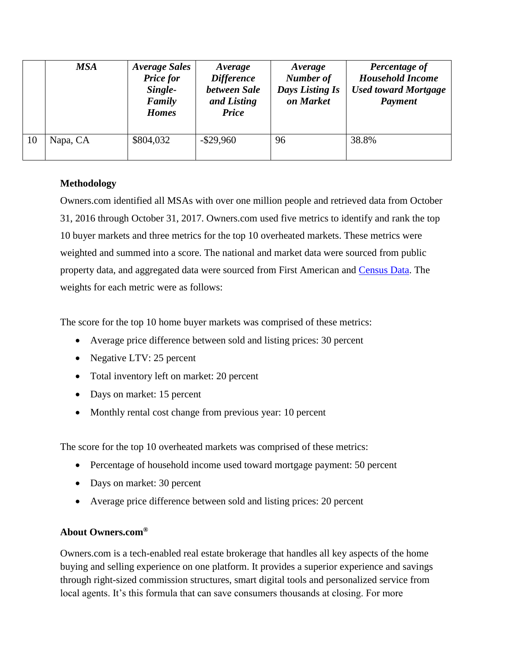|    | <b>MSA</b> | <b>Average Sales</b><br><b>Price for</b><br>Single-<br>Family<br><b>Homes</b> | Average<br><b>Difference</b><br>between Sale<br>and Listing<br><b>Price</b> | Average<br>Number of<br><b>Days Listing Is</b><br>on Market | Percentage of<br><b>Household Income</b><br><b>Used toward Mortgage</b><br>Payment |
|----|------------|-------------------------------------------------------------------------------|-----------------------------------------------------------------------------|-------------------------------------------------------------|------------------------------------------------------------------------------------|
| 10 | Napa, CA   | \$804,032                                                                     | $-$ \$29,960                                                                | 96                                                          | 38.8%                                                                              |

#### **Methodology**

Owners.com identified all MSAs with over one million people and retrieved data from October 31, 2016 through October 31, 2017. Owners.com used five metrics to identify and rank the top 10 buyer markets and three metrics for the top 10 overheated markets. These metrics were weighted and summed into a score. The national and market data were sourced from public property data, and aggregated data were sourced from First American and [Census Data.](https://factfinder.census.gov/faces/nav/jsf/pages/index.xhtml) The weights for each metric were as follows:

The score for the top 10 home buyer markets was comprised of these metrics:

- Average price difference between sold and listing prices: 30 percent
- Negative LTV: 25 percent
- Total inventory left on market: 20 percent
- Days on market: 15 percent
- Monthly rental cost change from previous year: 10 percent

The score for the top 10 overheated markets was comprised of these metrics:

- Percentage of household income used toward mortgage payment: 50 percent
- Days on market: 30 percent
- Average price difference between sold and listing prices: 20 percent

#### **About Owners.com®**

Owners.com is a tech-enabled real estate brokerage that handles all key aspects of the home buying and selling experience on one platform. It provides a superior experience and savings through right-sized commission structures, smart digital tools and personalized service from local agents. It's this formula that can save consumers thousands at closing. For more